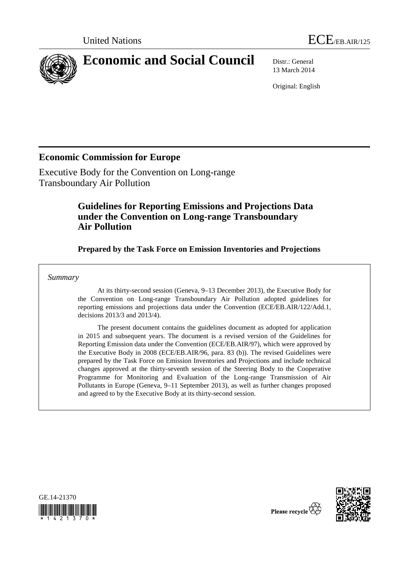

# **Economic and Social Council** Distr.: General

13 March 2014

Original: English

# **Economic Commission for Europe**

Executive Body for the Convention on Long-range Transboundary Air Pollution

# **Guidelines for Reporting Emissions and Projections Data under the Convention on Long-range Transboundary Air Pollution**

 **Prepared by the Task Force on Emission Inventories and Projections** 

*Summary* 

 At its thirty-second session (Geneva, 9–13 December 2013), the Executive Body for the Convention on Long-range Transboundary Air Pollution adopted guidelines for reporting emissions and projections data under the Convention (ECE/EB.AIR/122/Add.1, decisions 2013/3 and 2013/4).

 The present document contains the guidelines document as adopted for application in 2015 and subsequent years. The document is a revised version of the Guidelines for Reporting Emission data under the Convention (ECE/EB.AIR/97), which were approved by the Executive Body in 2008 (ECE/EB.AIR/96, para. 83 (b)). The revised Guidelines were prepared by the Task Force on Emission Inventories and Projections and include technical changes approved at the thirty-seventh session of the Steering Body to the Cooperative Programme for Monitoring and Evaluation of the Long-range Transmission of Air Pollutants in Europe (Geneva, 9–11 September 2013), as well as further changes proposed and agreed to by the Executive Body at its thirty-second session.





Please recycle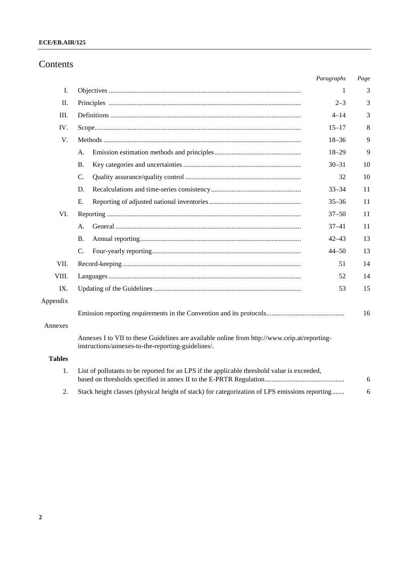#### **ECE/EB.AIR/125**

# Contents

|               |                                                                                                                                                    | Paragraphs | Page |  |
|---------------|----------------------------------------------------------------------------------------------------------------------------------------------------|------------|------|--|
| I.            |                                                                                                                                                    | 1          | 3    |  |
| Π.            |                                                                                                                                                    | $2 - 3$    | 3    |  |
| Ш.            |                                                                                                                                                    | $4 - 14$   | 3    |  |
| IV.           |                                                                                                                                                    | $15 - 17$  | 8    |  |
| V.            |                                                                                                                                                    | $18 - 36$  | 9    |  |
|               | А.                                                                                                                                                 | $18 - 29$  | 9    |  |
|               | <b>B.</b>                                                                                                                                          | $30 - 31$  | 10   |  |
|               | C.                                                                                                                                                 | 32         | 10   |  |
|               | D.                                                                                                                                                 | $33 - 34$  | 11   |  |
|               | Е.                                                                                                                                                 | $35 - 36$  | 11   |  |
| VI.           |                                                                                                                                                    | $37 - 50$  | 11   |  |
|               | А.                                                                                                                                                 | $37 - 41$  | 11   |  |
|               | <b>B.</b>                                                                                                                                          | $42 - 43$  | 13   |  |
|               | $\mathcal{C}$ .                                                                                                                                    | $44 - 50$  | 13   |  |
| VII.          |                                                                                                                                                    | 51         | 14   |  |
| VIII.         |                                                                                                                                                    | 52         | 14   |  |
| IX.           |                                                                                                                                                    | 53         | 15   |  |
| Appendix      |                                                                                                                                                    |            |      |  |
|               |                                                                                                                                                    |            | 16   |  |
| Annexes       |                                                                                                                                                    |            |      |  |
|               | Annexes I to VII to these Guidelines are available online from http://www.ceip.at/reporting-<br>instructions/annexes-to-the-reporting-guidelines/. |            |      |  |
| <b>Tables</b> |                                                                                                                                                    |            |      |  |
| 1.            | List of pollutants to be reported for an LPS if the applicable threshold value is exceeded,<br>6                                                   |            |      |  |
|               |                                                                                                                                                    |            |      |  |

2. Stack height classes (physical height of stack) for categorization of LPS emissions reporting....... 6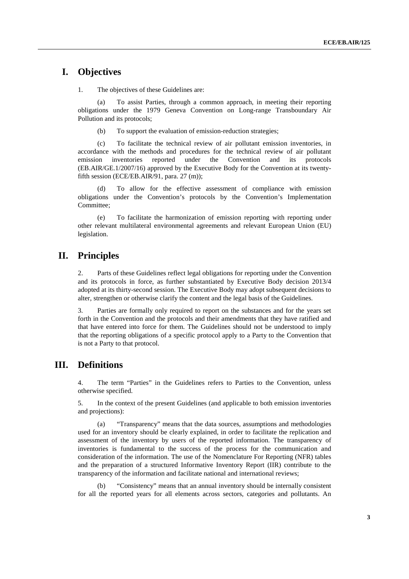# **I. Objectives**

1. The objectives of these Guidelines are:

To assist Parties, through a common approach, in meeting their reporting obligations under the 1979 Geneva Convention on Long-range Transboundary Air Pollution and its protocols;

(b) To support the evaluation of emission-reduction strategies;

(c) To facilitate the technical review of air pollutant emission inventories, in accordance with the methods and procedures for the technical review of air pollutant emission inventories reported under the Convention and its protocols (EB.AIR/GE.1/2007/16) approved by the Executive Body for the Convention at its twentyfifth session (ECE/EB.AIR/91, para. 27 (m));

(d) To allow for the effective assessment of compliance with emission obligations under the Convention's protocols by the Convention's Implementation Committee;

(e) To facilitate the harmonization of emission reporting with reporting under other relevant multilateral environmental agreements and relevant European Union (EU) legislation.

### **II. Principles**

2. Parts of these Guidelines reflect legal obligations for reporting under the Convention and its protocols in force, as further substantiated by Executive Body decision 2013/4 adopted at its thirty-second session. The Executive Body may adopt subsequent decisions to alter, strengthen or otherwise clarify the content and the legal basis of the Guidelines.

3. Parties are formally only required to report on the substances and for the years set forth in the Convention and the protocols and their amendments that they have ratified and that have entered into force for them. The Guidelines should not be understood to imply that the reporting obligations of a specific protocol apply to a Party to the Convention that is not a Party to that protocol.

### **III. Definitions**

4. The term "Parties" in the Guidelines refers to Parties to the Convention, unless otherwise specified.

5. In the context of the present Guidelines (and applicable to both emission inventories and projections):

(a) "Transparency" means that the data sources, assumptions and methodologies used for an inventory should be clearly explained, in order to facilitate the replication and assessment of the inventory by users of the reported information. The transparency of inventories is fundamental to the success of the process for the communication and consideration of the information. The use of the Nomenclature For Reporting (NFR) tables and the preparation of a structured Informative Inventory Report (IIR) contribute to the transparency of the information and facilitate national and international reviews;

"Consistency" means that an annual inventory should be internally consistent for all the reported years for all elements across sectors, categories and pollutants. An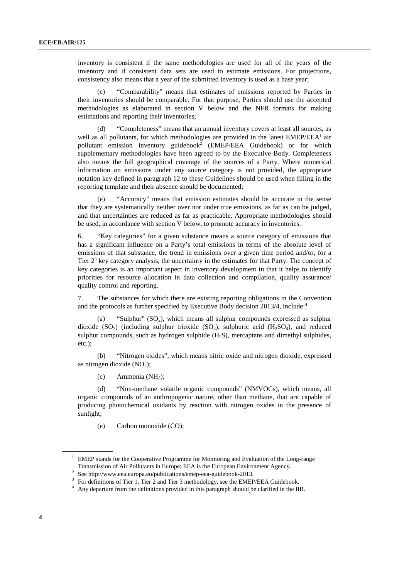inventory is consistent if the same methodologies are used for all of the years of the inventory and if consistent data sets are used to estimate emissions. For projections, consistency also means that a year of the submitted inventory is used as a base year;

(c) "Comparability" means that estimates of emissions reported by Parties in their inventories should be comparable. For that purpose, Parties should use the accepted methodologies as elaborated in section V below and the NFR formats for making estimations and reporting their inventories;

(d) "Completeness" means that an annual inventory covers at least all sources, as well as all pollutants, for which methodologies are provided in the latest  $EMEP/EEA<sup>1</sup>$  air pollutant emission inventory guidebook<sup>2</sup> (EMEP/EEA Guidebook) or for which supplementary methodologies have been agreed to by the Executive Body. Completeness also means the full geographical coverage of the sources of a Party. Where numerical information on emissions under any source category is not provided, the appropriate notation key defined in paragraph 12 to these Guidelines should be used when filling in the reporting template and their absence should be documented;

"Accuracy" means that emission estimates should be accurate in the sense that they are systematically neither over nor under true emissions, as far as can be judged, and that uncertainties are reduced as far as practicable. Appropriate methodologies should be used, in accordance with section V below, to promote accuracy in inventories.

6. "Key categories" for a given substance means a source category of emissions that has a significant influence on a Party's total emissions in terms of the absolute level of emissions of that substance, the trend in emissions over a given time period and/or, for a Tier  $2<sup>3</sup>$  key category analysis, the uncertainty in the estimates for that Party. The concept of key categories is an important aspect in inventory development in that it helps to identify priorities for resource allocation in data collection and compilation, quality assurance/ quality control and reporting.

7. The substances for which there are existing reporting obligations in the Convention and the protocols as further specified by Executive Body decision 2013/4, include:<sup>4</sup>

"Sulphur"  $(SO<sub>x</sub>)$ , which means all sulphur compounds expressed as sulphur dioxide (SO<sub>2</sub>) (including sulphur trioxide (SO<sub>3</sub>), sulphuric acid (H<sub>2</sub>SO<sub>4</sub>), and reduced sulphur compounds, such as hydrogen sulphide  $(H<sub>2</sub>S)$ , mercaptans and dimethyl sulphides, etc.);

(b) "Nitrogen oxides", which means nitric oxide and nitrogen dioxide, expressed as nitrogen dioxide  $(NO<sub>2</sub>)$ ;

(c) Ammonia ( $NH<sub>3</sub>$ );

(d) "Non-methane volatile organic compounds" (NMVOCs), which means, all organic compounds of an anthropogenic nature, other than methane, that are capable of producing photochemical oxidants by reaction with nitrogen oxides in the presence of sunlight;

(e) Carbon monoxide (CO);

<sup>&</sup>lt;sup>1</sup> EMEP stands for the Cooperative Programme for Monitoring and Evaluation of the Long-range Transmission of Air Pollutants in Europe; EEA is the European Environment Agency. 2

 $\frac{2}{3}$  See http://www.eea.europa.eu/publications/emep-eea-guidebook-2013.

 $\frac{3}{10}$  For definitions of Tier 1, Tier 2 and Tier 3 methodology, see the EMEP/EEA Guidebook.

<sup>&</sup>lt;sup>4</sup> Any departure from the definitions provided in this paragraph should be clarified in the IIR.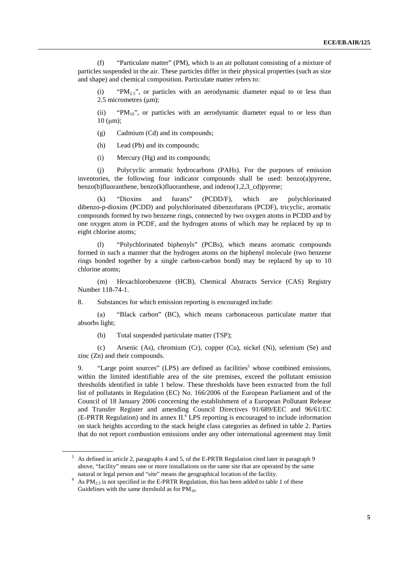(f) "Particulate matter" (PM), which is an air pollutant consisting of a mixture of particles suspended in the air. These particles differ in their physical properties (such as size and shape) and chemical composition. Particulate matter refers to:

(i) "PM<sub>2.5</sub>", or particles with an aerodynamic diameter equal to or less than 2.5 micrometres (μm);

(ii) " $PM_{10}$ ", or particles with an aerodynamic diameter equal to or less than  $10 \, (\mu m);$ 

(g) Cadmium (Cd) and its compounds;

(h) Lead (Pb) and its compounds;

(i) Mercury (Hg) and its compounds;

(j) Polycyclic aromatic hydrocarbons (PAHs). For the purposes of emission inventories, the following four indicator compounds shall be used: benzo(a)pyrene, benzo(b)fluoranthene, benzo(k)fluoranthene, and indeno(1,2,3\_cd)pyrene;

"Dioxins and furans" (PCDD/F), which are polychlorinated dibenzo-p-dioxins (PCDD) and polychlorinated dibenzofurans (PCDF), tricyclic, aromatic compounds formed by two benzene rings, connected by two oxygen atoms in PCDD and by one oxygen atom in PCDF, and the hydrogen atoms of which may be replaced by up to eight chlorine atoms;

(l) "Polychlorinated biphenyls" (PCBs), which means aromatic compounds formed in such a manner that the hydrogen atoms on the biphenyl molecule (two benzene rings bonded together by a single carbon-carbon bond) may be replaced by up to 10 chlorine atoms;

(m) Hexachlorobenzene (HCB), Chemical Abstracts Service (CAS) Registry Number 118-74-1.

8. Substances for which emission reporting is encouraged include:

(a) "Black carbon" (BC), which means carbonaceous particulate matter that absorbs light;

(b) Total suspended particulate matter (TSP);

(c) Arsenic (As), chromium (Cr), copper (Cu), nickel (Ni), selenium (Se) and zinc (Zn) and their compounds.

9. "Large point sources" (LPS) are defined as facilities<sup>5</sup> whose combined emissions, within the limited identifiable area of the site premises, exceed the pollutant emission thresholds identified in table 1 below. These thresholds have been extracted from the full list of pollutants in Regulation (EC) No. 166/2006 of the European Parliament and of the Council of 18 January 2006 concerning the establishment of a European Pollutant Release and Transfer Register and amending Council Directives 91/689/EEC and 96/61/EC (E-PRTR Regulation) and its annex II.<sup>6</sup> LPS reporting is encouraged to include information on stack heights according to the stack height class categories as defined in table 2. Parties that do not report combustion emissions under any other international agreement may limit

<sup>&</sup>lt;sup>5</sup> As defined in article 2, paragraphs 4 and 5, of the E-PRTR Regulation cited later in paragraph 9 above, "facility" means one or more installations on the same site that are operated by the same

natural or legal person and "site" means the geographical location of the facility.<br><sup>6</sup> As PM<sub>2.5</sub> is not specified in the E-PRTR Regulation, this has been added to table 1 of these Guidelines with the same threshold as for  $PM_{10}$ .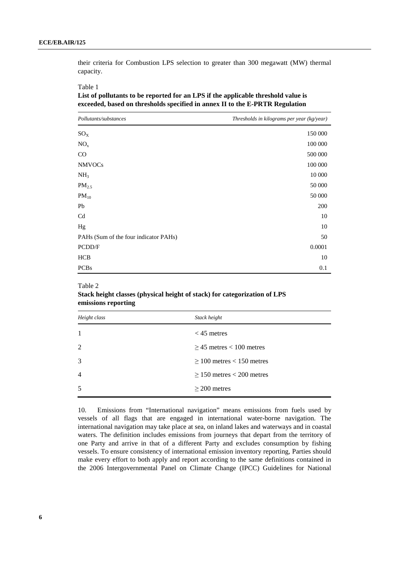their criteria for Combustion LPS selection to greater than 300 megawatt (MW) thermal capacity.

#### Table 1

**List of pollutants to be reported for an LPS if the applicable threshold value is exceeded, based on thresholds specified in annex II to the E-PRTR Regulation** 

| Pollutants/substances                 | Thresholds in kilograms per year (kg/year) |  |
|---------------------------------------|--------------------------------------------|--|
| $SO_X$                                | 150 000                                    |  |
| NO <sub>x</sub>                       | 100 000                                    |  |
| $\rm CO$                              | 500 000                                    |  |
| <b>NMVOCs</b>                         | 100 000                                    |  |
| NH <sub>3</sub>                       | 10 000                                     |  |
| $PM_{2.5}$                            | 50 000                                     |  |
| $PM_{10}$                             | 50 000                                     |  |
| Pb                                    | 200                                        |  |
| C <sub>d</sub>                        | 10                                         |  |
| Hg                                    | 10                                         |  |
| PAHs (Sum of the four indicator PAHs) | 50                                         |  |
| PCDD/F                                | 0.0001                                     |  |
| HCB                                   | 10                                         |  |
| <b>PCBs</b>                           | 0.1                                        |  |

#### Table 2

#### **Stack height classes (physical height of stack) for categorization of LPS emissions reporting**

| Height class   | Stack height                   |
|----------------|--------------------------------|
| -1             | $<$ 45 metres                  |
| 2              | $\geq$ 45 metres < 100 metres  |
| 3              | $>$ 100 metres $<$ 150 metres  |
| $\overline{4}$ | $\geq$ 150 metres < 200 metres |
| 5              | $\geq$ 200 metres              |

10. Emissions from "International navigation" means emissions from fuels used by vessels of all flags that are engaged in international water-borne navigation. The international navigation may take place at sea, on inland lakes and waterways and in coastal waters. The definition includes emissions from journeys that depart from the territory of one Party and arrive in that of a different Party and excludes consumption by fishing vessels. To ensure consistency of international emission inventory reporting, Parties should make every effort to both apply and report according to the same definitions contained in the 2006 Intergovernmental Panel on Climate Change (IPCC) Guidelines for National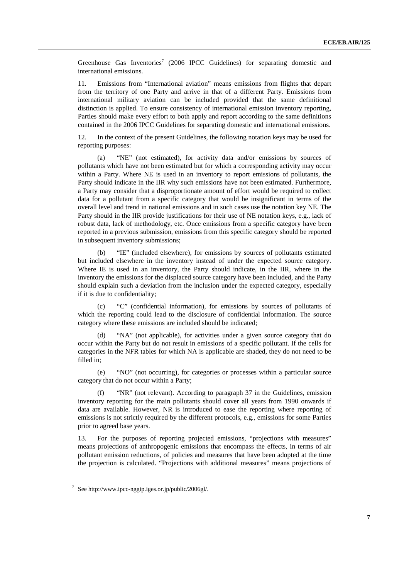Greenhouse Gas Inventories<sup>7</sup> (2006 IPCC Guidelines) for separating domestic and international emissions.

11. Emissions from "International aviation" means emissions from flights that depart from the territory of one Party and arrive in that of a different Party. Emissions from international military aviation can be included provided that the same definitional distinction is applied. To ensure consistency of international emission inventory reporting, Parties should make every effort to both apply and report according to the same definitions contained in the 2006 IPCC Guidelines for separating domestic and international emissions.

12. In the context of the present Guidelines, the following notation keys may be used for reporting purposes:

(a) "NE" (not estimated), for activity data and/or emissions by sources of pollutants which have not been estimated but for which a corresponding activity may occur within a Party. Where NE is used in an inventory to report emissions of pollutants, the Party should indicate in the IIR why such emissions have not been estimated. Furthermore, a Party may consider that a disproportionate amount of effort would be required to collect data for a pollutant from a specific category that would be insignificant in terms of the overall level and trend in national emissions and in such cases use the notation key NE. The Party should in the IIR provide justifications for their use of NE notation keys, e.g., lack of robust data, lack of methodology, etc. Once emissions from a specific category have been reported in a previous submission, emissions from this specific category should be reported in subsequent inventory submissions;

(b) "IE" (included elsewhere), for emissions by sources of pollutants estimated but included elsewhere in the inventory instead of under the expected source category. Where IE is used in an inventory, the Party should indicate, in the IIR, where in the inventory the emissions for the displaced source category have been included, and the Party should explain such a deviation from the inclusion under the expected category, especially if it is due to confidentiality;

(c) "C" (confidential information), for emissions by sources of pollutants of which the reporting could lead to the disclosure of confidential information. The source category where these emissions are included should be indicated;

"NA" (not applicable), for activities under a given source category that do occur within the Party but do not result in emissions of a specific pollutant. If the cells for categories in the NFR tables for which NA is applicable are shaded, they do not need to be filled in;

(e) "NO" (not occurring), for categories or processes within a particular source category that do not occur within a Party;

"NR" (not relevant). According to paragraph 37 in the Guidelines, emission inventory reporting for the main pollutants should cover all years from 1990 onwards if data are available. However, NR is introduced to ease the reporting where reporting of emissions is not strictly required by the different protocols, e.g., emissions for some Parties prior to agreed base years.

13. For the purposes of reporting projected emissions, "projections with measures" means projections of anthropogenic emissions that encompass the effects, in terms of air pollutant emission reductions, of policies and measures that have been adopted at the time the projection is calculated. "Projections with additional measures" means projections of

<sup>&</sup>lt;sup>7</sup> See http://www.ipcc-nggip.iges.or.jp/public/2006gl/.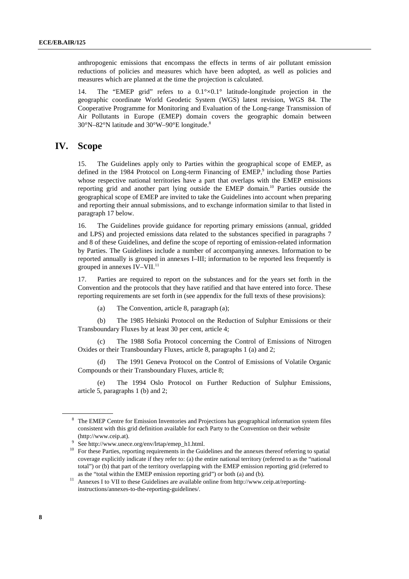anthropogenic emissions that encompass the effects in terms of air pollutant emission reductions of policies and measures which have been adopted, as well as policies and measures which are planned at the time the projection is calculated.

14. The "EMEP grid" refers to a 0.1°×0.1° latitude-longitude projection in the geographic coordinate World Geodetic System (WGS) latest revision, WGS 84. The Cooperative Programme for Monitoring and Evaluation of the Long-range Transmission of Air Pollutants in Europe (EMEP) domain covers the geographic domain between  $30^{\circ}$ N–82°N latitude and  $30^{\circ}$ W–90°E longitude.<sup>8</sup>

### **IV. Scope**

15. The Guidelines apply only to Parties within the geographical scope of EMEP, as defined in the 1984 Protocol on Long-term Financing of EMEP,<sup>9</sup> including those Parties whose respective national territories have a part that overlaps with the EMEP emissions reporting grid and another part lying outside the EMEP domain.10 Parties outside the geographical scope of EMEP are invited to take the Guidelines into account when preparing and reporting their annual submissions, and to exchange information similar to that listed in paragraph 17 below.

16. The Guidelines provide guidance for reporting primary emissions (annual, gridded and LPS) and projected emissions data related to the substances specified in paragraphs 7 and 8 of these Guidelines, and define the scope of reporting of emission-related information by Parties. The Guidelines include a number of accompanying annexes. Information to be reported annually is grouped in annexes I–III; information to be reported less frequently is grouped in annexes IV–VII.<sup>11</sup>

17. Parties are required to report on the substances and for the years set forth in the Convention and the protocols that they have ratified and that have entered into force. These reporting requirements are set forth in (see appendix for the full texts of these provisions):

(a) The Convention, article 8, paragraph (a);

(b) The 1985 Helsinki Protocol on the Reduction of Sulphur Emissions or their Transboundary Fluxes by at least 30 per cent, article 4;

(c) The 1988 Sofia Protocol concerning the Control of Emissions of Nitrogen Oxides or their Transboundary Fluxes, article 8, paragraphs 1 (a) and 2;

(d) The 1991 Geneva Protocol on the Control of Emissions of Volatile Organic Compounds or their Transboundary Fluxes, article 8;

(e) The 1994 Oslo Protocol on Further Reduction of Sulphur Emissions, article 5, paragraphs 1 (b) and 2;

<sup>&</sup>lt;sup>8</sup> The EMEP Centre for Emission Inventories and Projections has geographical information system files consistent with this grid definition available for each Party to the Convention on their website (http://www.ceip.at).<br>See http://www.unece.org/env/lrtap/emep\_h1.html.

 $10$  For these Parties, reporting requirements in the Guidelines and the annexes thereof referring to spatial coverage explicitly indicate if they refer to: (a) the entire national territory (referred to as the "national total") or (b) that part of the territory overlapping with the EMEP emission reporting grid (referred to

as the "total within the EMEP emission reporting grid") or both (a) and (b).<br><sup>11</sup> Annexes I to VII to these Guidelines are available online from http://www.ceip.at/reportinginstructions/annexes-to-the-reporting-guidelines/.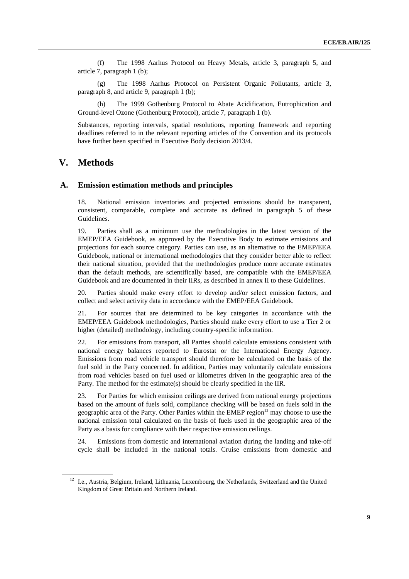(f) The 1998 Aarhus Protocol on Heavy Metals, article 3, paragraph 5, and article 7, paragraph 1 (b);

(g) The 1998 Aarhus Protocol on Persistent Organic Pollutants, article 3, paragraph 8, and article 9, paragraph 1 (b);

(h) The 1999 Gothenburg Protocol to Abate Acidification, Eutrophication and Ground-level Ozone (Gothenburg Protocol), article 7, paragraph 1 (b).

Substances, reporting intervals, spatial resolutions, reporting framework and reporting deadlines referred to in the relevant reporting articles of the Convention and its protocols have further been specified in Executive Body decision 2013/4.

### **V. Methods**

#### **A. Emission estimation methods and principles**

18. National emission inventories and projected emissions should be transparent, consistent, comparable, complete and accurate as defined in paragraph 5 of these Guidelines.

19. Parties shall as a minimum use the methodologies in the latest version of the EMEP/EEA Guidebook, as approved by the Executive Body to estimate emissions and projections for each source category. Parties can use, as an alternative to the EMEP/EEA Guidebook, national or international methodologies that they consider better able to reflect their national situation, provided that the methodologies produce more accurate estimates than the default methods, are scientifically based, are compatible with the EMEP/EEA Guidebook and are documented in their IIRs, as described in annex II to these Guidelines.

20. Parties should make every effort to develop and/or select emission factors, and collect and select activity data in accordance with the EMEP/EEA Guidebook.

21. For sources that are determined to be key categories in accordance with the EMEP/EEA Guidebook methodologies, Parties should make every effort to use a Tier 2 or higher (detailed) methodology, including country-specific information.

22. For emissions from transport, all Parties should calculate emissions consistent with national energy balances reported to Eurostat or the International Energy Agency. Emissions from road vehicle transport should therefore be calculated on the basis of the fuel sold in the Party concerned. In addition, Parties may voluntarily calculate emissions from road vehicles based on fuel used or kilometres driven in the geographic area of the Party. The method for the estimate(s) should be clearly specified in the IIR.

23. For Parties for which emission ceilings are derived from national energy projections based on the amount of fuels sold, compliance checking will be based on fuels sold in the geographic area of the Party. Other Parties within the EMEP region $12$  may choose to use the national emission total calculated on the basis of fuels used in the geographic area of the Party as a basis for compliance with their respective emission ceilings.

24. Emissions from domestic and international aviation during the landing and take-off cycle shall be included in the national totals. Cruise emissions from domestic and

<sup>&</sup>lt;sup>12</sup> I.e., Austria, Belgium, Ireland, Lithuania, Luxembourg, the Netherlands, Switzerland and the United Kingdom of Great Britain and Northern Ireland.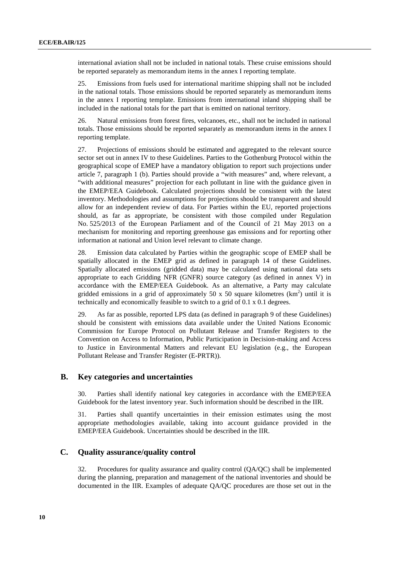international aviation shall not be included in national totals. These cruise emissions should be reported separately as memorandum items in the annex I reporting template.

25. Emissions from fuels used for international maritime shipping shall not be included in the national totals. Those emissions should be reported separately as memorandum items in the annex I reporting template. Emissions from international inland shipping shall be included in the national totals for the part that is emitted on national territory.

26. Natural emissions from forest fires, volcanoes, etc., shall not be included in national totals. Those emissions should be reported separately as memorandum items in the annex I reporting template.

27. Projections of emissions should be estimated and aggregated to the relevant source sector set out in annex IV to these Guidelines. Parties to the Gothenburg Protocol within the geographical scope of EMEP have a mandatory obligation to report such projections under article 7, paragraph 1 (b). Parties should provide a "with measures" and, where relevant, a "with additional measures" projection for each pollutant in line with the guidance given in the EMEP/EEA Guidebook. Calculated projections should be consistent with the latest inventory. Methodologies and assumptions for projections should be transparent and should allow for an independent review of data. For Parties within the EU, reported projections should, as far as appropriate, be consistent with those compiled under Regulation No. 525/2013 of the European Parliament and of the Council of 21 May 2013 on a mechanism for monitoring and reporting greenhouse gas emissions and for reporting other information at national and Union level relevant to climate change.

28. Emission data calculated by Parties within the geographic scope of EMEP shall be spatially allocated in the EMEP grid as defined in paragraph 14 of these Guidelines. Spatially allocated emissions (gridded data) may be calculated using national data sets appropriate to each Gridding NFR (GNFR) source category (as defined in annex V) in accordance with the EMEP/EEA Guidebook. As an alternative, a Party may calculate gridded emissions in a grid of approximately 50 x 50 square kilometres  $(km^2)$  until it is technically and economically feasible to switch to a grid of 0.1 x 0.1 degrees.

29. As far as possible, reported LPS data (as defined in paragraph 9 of these Guidelines) should be consistent with emissions data available under the United Nations Economic Commission for Europe Protocol on Pollutant Release and Transfer Registers to the Convention on Access to Information, Public Participation in Decision-making and Access to Justice in Environmental Matters and relevant EU legislation (e.g., the European Pollutant Release and Transfer Register (E-PRTR)).

#### **B. Key categories and uncertainties**

30. Parties shall identify national key categories in accordance with the EMEP/EEA Guidebook for the latest inventory year. Such information should be described in the IIR.

31. Parties shall quantify uncertainties in their emission estimates using the most appropriate methodologies available, taking into account guidance provided in the EMEP/EEA Guidebook. Uncertainties should be described in the IIR.

#### **C. Quality assurance/quality control**

32. Procedures for quality assurance and quality control (QA/QC) shall be implemented during the planning, preparation and management of the national inventories and should be documented in the IIR. Examples of adequate QA/QC procedures are those set out in the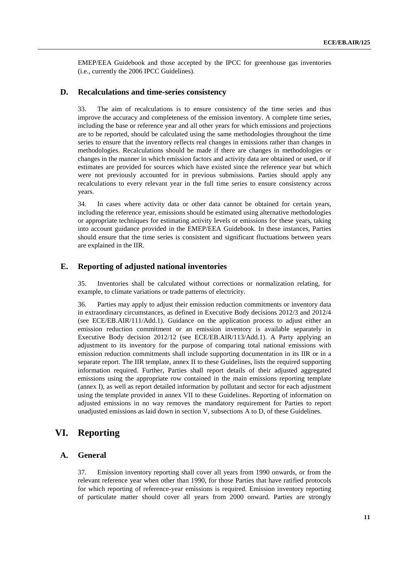EMEP/EEA Guidebook and those accepted by the IPCC for greenhouse gas inventories (i.e., currently the 2006 IPCC Guidelines).

#### **D. Recalculations and time-series consistency**

33. The aim of recalculations is to ensure consistency of the time series and thus improve the accuracy and completeness of the emission inventory. A complete time series, including the base or reference year and all other years for which emissions and projections are to be reported, should be calculated using the same methodologies throughout the time series to ensure that the inventory reflects real changes in emissions rather than changes in methodologies. Recalculations should be made if there are changes in methodologies or changes in the manner in which emission factors and activity data are obtained or used, or if estimates are provided for sources which have existed since the reference year but which were not previously accounted for in previous submissions. Parties should apply any recalculations to every relevant year in the full time series to ensure consistency across years.

34. In cases where activity data or other data cannot be obtained for certain years, including the reference year, emissions should be estimated using alternative methodologies or appropriate techniques for estimating activity levels or emissions for these years, taking into account guidance provided in the EMEP/EEA Guidebook. In these instances, Parties should ensure that the time series is consistent and significant fluctuations between years are explained in the IIR.

#### **E. Reporting of adjusted national inventories**

35. Inventories shall be calculated without corrections or normalization relating, for example, to climate variations or trade patterns of electricity.

36. Parties may apply to adjust their emission reduction commitments or inventory data in extraordinary circumstances, as defined in Executive Body decisions 2012/3 and 2012/4 (see ECE/EB.AIR/111/Add.1). Guidance on the application process to adjust either an emission reduction commitment or an emission inventory is available separately in Executive Body decision 2012/12 (see ECE/EB.AIR/113/Add.1). A Party applying an adjustment to its inventory for the purpose of comparing total national emissions with emission reduction commitments shall include supporting documentation in its IIR or in a separate report. The IIR template, annex II to these Guidelines, lists the required supporting information required. Further, Parties shall report details of their adjusted aggregated emissions using the appropriate row contained in the main emissions reporting template (annex I), as well as report detailed information by pollutant and sector for each adjustment using the template provided in annex VII to these Guidelines. Reporting of information on adjusted emissions in no way removes the mandatory requirement for Parties to report unadjusted emissions as laid down in section V, subsections A to D, of these Guidelines.

# **VI. Reporting**

#### **A. General**

37. Emission inventory reporting shall cover all years from 1990 onwards, or from the relevant reference year when other than 1990, for those Parties that have ratified protocols for which reporting of reference-year emissions is required. Emission inventory reporting of particulate matter should cover all years from 2000 onward. Parties are strongly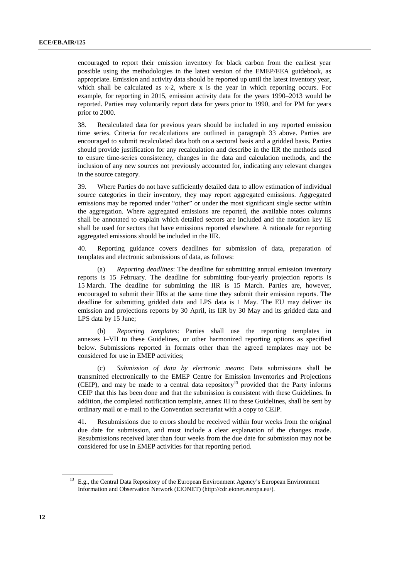encouraged to report their emission inventory for black carbon from the earliest year possible using the methodologies in the latest version of the EMEP/EEA guidebook, as appropriate. Emission and activity data should be reported up until the latest inventory year, which shall be calculated as x-2, where x is the year in which reporting occurs. For example, for reporting in 2015, emission activity data for the years 1990–2013 would be reported. Parties may voluntarily report data for years prior to 1990, and for PM for years prior to 2000.

38. Recalculated data for previous years should be included in any reported emission time series. Criteria for recalculations are outlined in paragraph 33 above. Parties are encouraged to submit recalculated data both on a sectoral basis and a gridded basis. Parties should provide justification for any recalculation and describe in the IIR the methods used to ensure time-series consistency, changes in the data and calculation methods, and the inclusion of any new sources not previously accounted for, indicating any relevant changes in the source category.

39. Where Parties do not have sufficiently detailed data to allow estimation of individual source categories in their inventory, they may report aggregated emissions. Aggregated emissions may be reported under "other" or under the most significant single sector within the aggregation. Where aggregated emissions are reported, the available notes columns shall be annotated to explain which detailed sectors are included and the notation key IE shall be used for sectors that have emissions reported elsewhere. A rationale for reporting aggregated emissions should be included in the IIR.

40. Reporting guidance covers deadlines for submission of data, preparation of templates and electronic submissions of data, as follows:

(a) *Reporting deadlines*: The deadline for submitting annual emission inventory reports is 15 February. The deadline for submitting four-yearly projection reports is 15 March. The deadline for submitting the IIR is 15 March. Parties are, however, encouraged to submit their IIRs at the same time they submit their emission reports. The deadline for submitting gridded data and LPS data is 1 May. The EU may deliver its emission and projections reports by 30 April, its IIR by 30 May and its gridded data and LPS data by 15 June;

(b) *Reporting templates*: Parties shall use the reporting templates in annexes I–VII to these Guidelines, or other harmonized reporting options as specified below. Submissions reported in formats other than the agreed templates may not be considered for use in EMEP activities;

(c) *Submission of data by electronic means*: Data submissions shall be transmitted electronically to the EMEP Centre for Emission Inventories and Projections (CEIP), and may be made to a central data repository<sup>13</sup> provided that the Party informs CEIP that this has been done and that the submission is consistent with these Guidelines. In addition, the completed notification template, annex III to these Guidelines, shall be sent by ordinary mail or e-mail to the Convention secretariat with a copy to CEIP.

41. Resubmissions due to errors should be received within four weeks from the original due date for submission, and must include a clear explanation of the changes made. Resubmissions received later than four weeks from the due date for submission may not be considered for use in EMEP activities for that reporting period.

 $13$  E.g., the Central Data Repository of the European Environment Agency's European Environment Information and Observation Network (EIONET) (http://cdr.eionet.europa.eu/).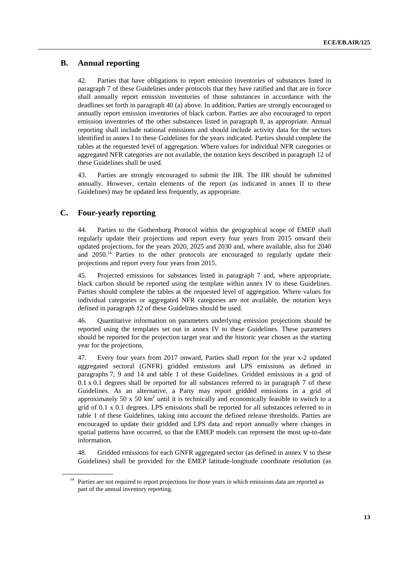#### **B. Annual reporting**

42. Parties that have obligations to report emission inventories of substances listed in paragraph 7 of these Guidelines under protocols that they have ratified and that are in force shall annually report emission inventories of those substances in accordance with the deadlines set forth in paragraph 40 (a) above. In addition, Parties are strongly encouraged to annually report emission inventories of black carbon. Parties are also encouraged to report emission inventories of the other substances listed in paragraph 8, as appropriate. Annual reporting shall include national emissions and should include activity data for the sectors identified in annex I to these Guidelines for the years indicated. Parties should complete the tables at the requested level of aggregation. Where values for individual NFR categories or aggregated NFR categories are not available, the notation keys described in paragraph 12 of these Guidelines shall be used.

43. Parties are strongly encouraged to submit the IIR. The IIR should be submitted annually. However, certain elements of the report (as indicated in annex II to these Guidelines) may be updated less frequently, as appropriate.

#### **C. Four-yearly reporting**

44. Parties to the Gothenburg Protocol within the geographical scope of EMEP shall regularly update their projections and report every four years from 2015 onward their updated projections, for the years 2020, 2025 and 2030 and, where available, also for 2040 and  $2050<sup>14</sup>$  Parties to the other protocols are encouraged to regularly update their projections and report every four years from 2015.

45. Projected emissions for substances listed in paragraph 7 and, where appropriate, black carbon should be reported using the template within annex IV to these Guidelines. Parties should complete the tables at the requested level of aggregation. Where values for individual categories or aggregated NFR categories are not available, the notation keys defined in paragraph 12 of these Guidelines should be used.

46. Quantitative information on parameters underlying emission projections should be reported using the templates set out in annex IV to these Guidelines. These parameters should be reported for the projection target year and the historic year chosen as the starting year for the projections.

47. Every four years from 2017 onward, Parties shall report for the year x-2 updated aggregated sectoral (GNFR) gridded emissions and LPS emissions as defined in paragraphs 7, 9 and 14 and table 1 of these Guidelines. Gridded emissions in a grid of 0.1 x 0.1 degrees shall be reported for all substances referred to in paragraph 7 of these Guidelines. As an alternative, a Party may report gridded emissions in a grid of approximately 50 x 50  $km^2$  until it is technically and economically feasible to switch to a grid of 0.1 x 0.1 degrees. LPS emissions shall be reported for all substances referred to in table 1 of these Guidelines, taking into account the defined release thresholds. Parties are encouraged to update their gridded and LPS data and report annually where changes in spatial patterns have occurred, so that the EMEP models can represent the most up-to-date information.

48. Gridded emissions for each GNFR aggregated sector (as defined in annex V to these Guidelines) shall be provided for the EMEP latitude-longitude coordinate resolution (as

<sup>&</sup>lt;sup>14</sup> Parties are not required to report projections for those years in which emissions data are reported as part of the annual inventory reporting.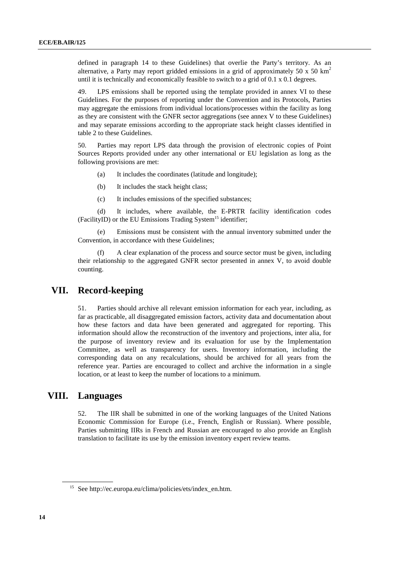defined in paragraph 14 to these Guidelines) that overlie the Party's territory. As an alternative, a Party may report gridded emissions in a grid of approximately 50 x 50  $\text{km}^2$ until it is technically and economically feasible to switch to a grid of 0.1 x 0.1 degrees.

49. LPS emissions shall be reported using the template provided in annex VI to these Guidelines. For the purposes of reporting under the Convention and its Protocols, Parties may aggregate the emissions from individual locations/processes within the facility as long as they are consistent with the GNFR sector aggregations (see annex V to these Guidelines) and may separate emissions according to the appropriate stack height classes identified in table 2 to these Guidelines.

50. Parties may report LPS data through the provision of electronic copies of Point Sources Reports provided under any other international or EU legislation as long as the following provisions are met:

- (a) It includes the coordinates (latitude and longitude);
- (b) It includes the stack height class;
- (c) It includes emissions of the specified substances;

(d) It includes, where available, the E-PRTR facility identification codes (FacilityID) or the EU Emissions Trading System<sup>15</sup> identifier;

(e) Emissions must be consistent with the annual inventory submitted under the Convention, in accordance with these Guidelines;

(f) A clear explanation of the process and source sector must be given, including their relationship to the aggregated GNFR sector presented in annex V, to avoid double counting.

# **VII. Record-keeping**

51. Parties should archive all relevant emission information for each year, including, as far as practicable, all disaggregated emission factors, activity data and documentation about how these factors and data have been generated and aggregated for reporting. This information should allow the reconstruction of the inventory and projections, inter alia, for the purpose of inventory review and its evaluation for use by the Implementation Committee, as well as transparency for users. Inventory information, including the corresponding data on any recalculations, should be archived for all years from the reference year. Parties are encouraged to collect and archive the information in a single location, or at least to keep the number of locations to a minimum.

### **VIII. Languages**

52. The IIR shall be submitted in one of the working languages of the United Nations Economic Commission for Europe (i.e., French, English or Russian). Where possible, Parties submitting IIRs in French and Russian are encouraged to also provide an English translation to facilitate its use by the emission inventory expert review teams.

<sup>15</sup> See http://ec.europa.eu/clima/policies/ets/index\_en.htm.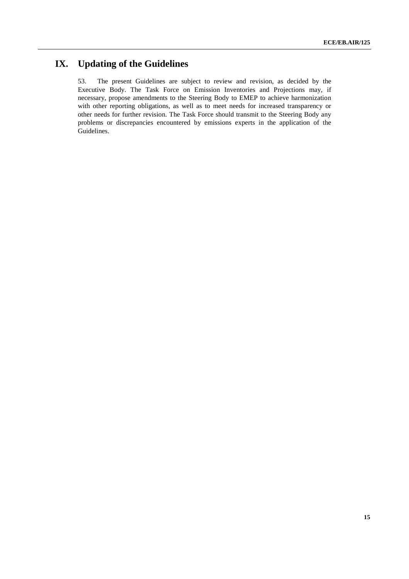# **IX. Updating of the Guidelines**

53. The present Guidelines are subject to review and revision, as decided by the Executive Body. The Task Force on Emission Inventories and Projections may, if necessary, propose amendments to the Steering Body to EMEP to achieve harmonization with other reporting obligations, as well as to meet needs for increased transparency or other needs for further revision. The Task Force should transmit to the Steering Body any problems or discrepancies encountered by emissions experts in the application of the Guidelines.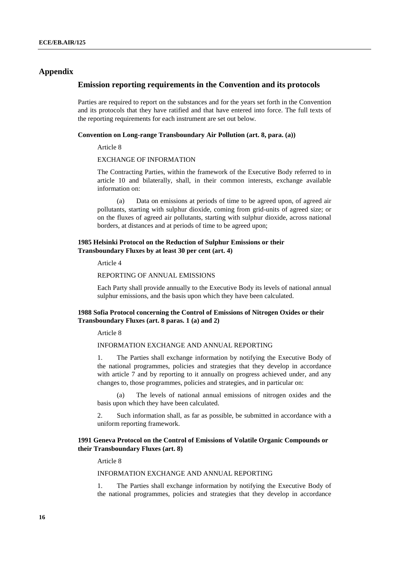#### **Appendix**

#### **Emission reporting requirements in the Convention and its protocols**

Parties are required to report on the substances and for the years set forth in the Convention and its protocols that they have ratified and that have entered into force. The full texts of the reporting requirements for each instrument are set out below.

#### **Convention on Long-range Transboundary Air Pollution (art. 8, para. (a))**

Article 8

#### EXCHANGE OF INFORMATION

The Contracting Parties, within the framework of the Executive Body referred to in article 10 and bilaterally, shall, in their common interests, exchange available information on:

(a) Data on emissions at periods of time to be agreed upon, of agreed air pollutants, starting with sulphur dioxide, coming from grid-units of agreed size; or on the fluxes of agreed air pollutants, starting with sulphur dioxide, across national borders, at distances and at periods of time to be agreed upon;

#### **1985 Helsinki Protocol on the Reduction of Sulphur Emissions or their Transboundary Fluxes by at least 30 per cent (art. 4)**

Article 4

#### REPORTING OF ANNUAL EMISSIONS

Each Party shall provide annually to the Executive Body its levels of national annual sulphur emissions, and the basis upon which they have been calculated.

#### **1988 Sofia Protocol concerning the Control of Emissions of Nitrogen Oxides or their Transboundary Fluxes (art. 8 paras. 1 (a) and 2)**

Article 8

#### INFORMATION EXCHANGE AND ANNUAL REPORTING

1. The Parties shall exchange information by notifying the Executive Body of the national programmes, policies and strategies that they develop in accordance with article 7 and by reporting to it annually on progress achieved under, and any changes to, those programmes, policies and strategies, and in particular on:

(a) The levels of national annual emissions of nitrogen oxides and the basis upon which they have been calculated.

2. Such information shall, as far as possible, be submitted in accordance with a uniform reporting framework.

#### **1991 Geneva Protocol on the Control of Emissions of Volatile Organic Compounds or their Transboundary Fluxes (art. 8)**

#### Article 8

#### INFORMATION EXCHANGE AND ANNUAL REPORTING

1. The Parties shall exchange information by notifying the Executive Body of the national programmes, policies and strategies that they develop in accordance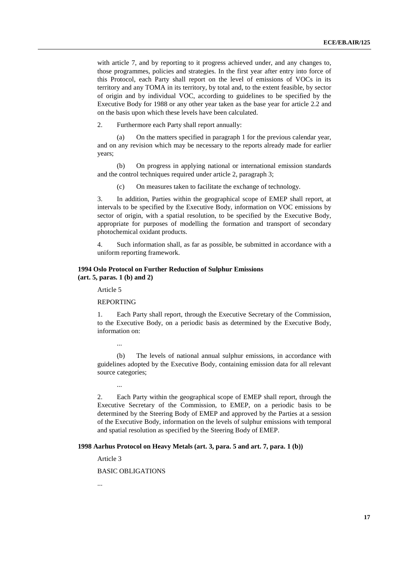with article 7, and by reporting to it progress achieved under, and any changes to, those programmes, policies and strategies. In the first year after entry into force of this Protocol, each Party shall report on the level of emissions of VOCs in its territory and any TOMA in its territory, by total and, to the extent feasible, by sector of origin and by individual VOC, according to guidelines to be specified by the Executive Body for 1988 or any other year taken as the base year for article 2.2 and on the basis upon which these levels have been calculated.

2. Furthermore each Party shall report annually:

(a) On the matters specified in paragraph 1 for the previous calendar year, and on any revision which may be necessary to the reports already made for earlier years;

(b) On progress in applying national or international emission standards and the control techniques required under article 2, paragraph 3;

(c) On measures taken to facilitate the exchange of technology.

3. In addition, Parties within the geographical scope of EMEP shall report, at intervals to be specified by the Executive Body, information on VOC emissions by sector of origin, with a spatial resolution, to be specified by the Executive Body, appropriate for purposes of modelling the formation and transport of secondary photochemical oxidant products.

4. Such information shall, as far as possible, be submitted in accordance with a uniform reporting framework.

#### **1994 Oslo Protocol on Further Reduction of Sulphur Emissions (art. 5, paras. 1 (b) and 2)**

Article 5

REPORTING

1. Each Party shall report, through the Executive Secretary of the Commission, to the Executive Body, on a periodic basis as determined by the Executive Body, information on:

...

...

(b) The levels of national annual sulphur emissions, in accordance with guidelines adopted by the Executive Body, containing emission data for all relevant source categories;

2. Each Party within the geographical scope of EMEP shall report, through the Executive Secretary of the Commission, to EMEP, on a periodic basis to be determined by the Steering Body of EMEP and approved by the Parties at a session of the Executive Body, information on the levels of sulphur emissions with temporal and spatial resolution as specified by the Steering Body of EMEP.

 **1998 Aarhus Protocol on Heavy Metals (art. 3, para. 5 and art. 7, para. 1 (b))** 

Article 3

BASIC OBLIGATIONS

...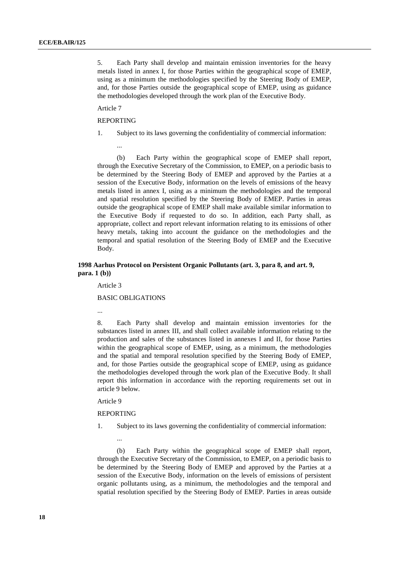5. Each Party shall develop and maintain emission inventories for the heavy metals listed in annex I, for those Parties within the geographical scope of EMEP, using as a minimum the methodologies specified by the Steering Body of EMEP, and, for those Parties outside the geographical scope of EMEP, using as guidance the methodologies developed through the work plan of the Executive Body.

Article 7

REPORTING

1. Subject to its laws governing the confidentiality of commercial information:

...

(b) Each Party within the geographical scope of EMEP shall report, through the Executive Secretary of the Commission, to EMEP, on a periodic basis to be determined by the Steering Body of EMEP and approved by the Parties at a session of the Executive Body, information on the levels of emissions of the heavy metals listed in annex I, using as a minimum the methodologies and the temporal and spatial resolution specified by the Steering Body of EMEP. Parties in areas outside the geographical scope of EMEP shall make available similar information to the Executive Body if requested to do so. In addition, each Party shall, as appropriate, collect and report relevant information relating to its emissions of other heavy metals, taking into account the guidance on the methodologies and the temporal and spatial resolution of the Steering Body of EMEP and the Executive Body.

#### **1998 Aarhus Protocol on Persistent Organic Pollutants (art. 3, para 8, and art. 9, para. 1 (b))**

Article 3

BASIC OBLIGATIONS

...

8. Each Party shall develop and maintain emission inventories for the substances listed in annex III, and shall collect available information relating to the production and sales of the substances listed in annexes I and II, for those Parties within the geographical scope of EMEP, using, as a minimum, the methodologies and the spatial and temporal resolution specified by the Steering Body of EMEP, and, for those Parties outside the geographical scope of EMEP, using as guidance the methodologies developed through the work plan of the Executive Body. It shall report this information in accordance with the reporting requirements set out in article 9 below.

Article 9

REPORTING

1. Subject to its laws governing the confidentiality of commercial information:

session of the Executive Body, information on the levels of emissions of persistent organic pollutants using, as a minimum, the methodologies and the temporal and spatial resolution specified by the Steering Body of EMEP. Parties in areas outside

... (b) Each Party within the geographical scope of EMEP shall report, through the Executive Secretary of the Commission, to EMEP, on a periodic basis to be determined by the Steering Body of EMEP and approved by the Parties at a